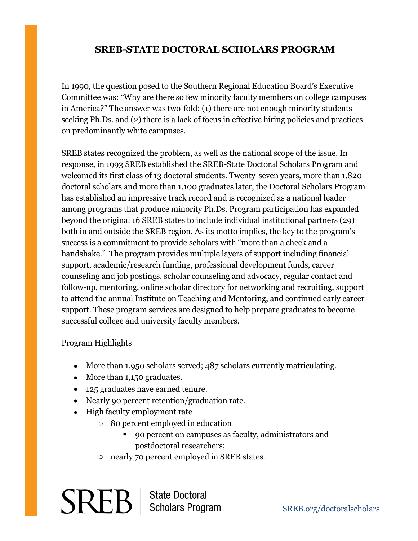## **SREB-STATE DOCTORAL SCHOLARS PROGRAM**

In 1990, the question posed to the Southern Regional Education Board's Executive Committee was: "Why are there so few minority faculty members on college campuses in America?" The answer was two-fold: (1) there are not enough minority students seeking Ph.Ds. and (2) there is a lack of focus in effective hiring policies and practices on predominantly white campuses.

SREB states recognized the problem, as well as the national scope of the issue. In response, in 1993 SREB established the SREB-State Doctoral Scholars Program and welcomed its first class of 13 doctoral students. Twenty-seven years, more than 1,820 doctoral scholars and more than 1,100 graduates later, the Doctoral Scholars Program has established an impressive track record and is recognized as a national leader among programs that produce minority Ph.Ds. Program participation has expanded beyond the original 16 SREB states to include individual institutional partners (29) both in and outside the SREB region. As its motto implies, the key to the program's success is a commitment to provide scholars with "more than a check and a handshake." The program provides multiple layers of support including financial support, academic/research funding, professional development funds, career counseling and job postings, scholar counseling and advocacy, regular contact and follow-up, mentoring, online scholar directory for networking and recruiting, support to attend the annual Institute on Teaching and Mentoring, and continued early career support. These program services are designed to help prepare graduates to become successful college and university faculty members.

## Program Highlights

- More than 1,950 scholars served; 487 scholars currently matriculating.
- More than 1,150 graduates.
- 125 graduates have earned tenure.
- Nearly 90 percent retention/graduation rate.
- High faculty employment rate
	- o 80 percent employed in education
		- 90 percent on campuses as faculty, administrators and postdoctoral researchers;
	- o nearly 70 percent employed in SREB states.

 $SREB$  | State Doctoral